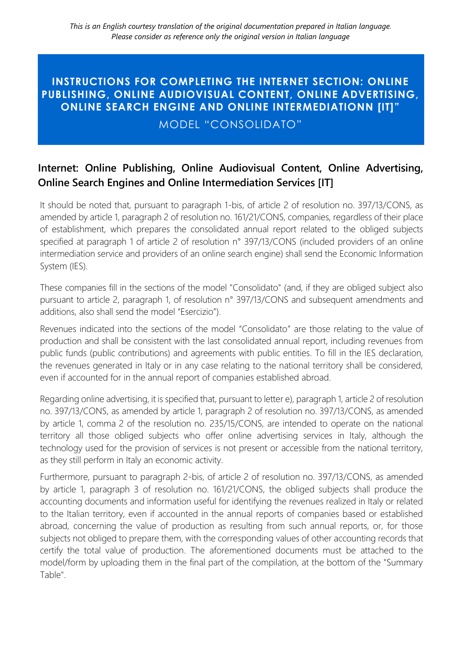## **INSTRUCTIONS FOR COMPLETING THE INTERNET SECTION: ONLINE PUBLISHING, ONLINE AUDIOVISUAL CONTENT, ONLINE ADVERTISING, ONLINE SEARCH ENGINE AND ONLINE INTERMEDIATIONN [IT]"**

MODEL "CONSOLIDATO"

## **Internet: Online Publishing, Online Audiovisual Content, Online Advertising, Online Search Engines and Online Intermediation Services [IT]**

It should be noted that, pursuant to paragraph 1-bis, of article 2 of resolution no. 397/13/CONS, as amended by article 1, paragraph 2 of resolution no. 161/21/CONS, companies, regardless of their place of establishment, which prepares the consolidated annual report related to the obliged subjects specified at paragraph 1 of article 2 of resolution n° 397/13/CONS (included providers of an online intermediation service and providers of an online search engine) shall send the Economic Information System (IES).

These companies fill in the sections of the model "Consolidato" (and, if they are obliged subject also pursuant to article 2, paragraph 1, of resolution n° 397/13/CONS and subsequent amendments and additions, also shall send the model "Esercizio").

Revenues indicated into the sections of the model "Consolidato" are those relating to the value of production and shall be consistent with the last consolidated annual report, including revenues from public funds (public contributions) and agreements with public entities. To fill in the IES declaration, the revenues generated in Italy or in any case relating to the national territory shall be considered, even if accounted for in the annual report of companies established abroad.

Regarding online advertising, it is specified that, pursuant to letter e), paragraph 1, article 2 of resolution no. 397/13/CONS, as amended by article 1, paragraph 2 of resolution no. 397/13/CONS, as amended by article 1, comma 2 of the resolution no. 235/15/CONS, are intended to operate on the national territory all those obliged subjects who offer online advertising services in Italy, although the technology used for the provision of services is not present or accessible from the national territory, as they still perform in Italy an economic activity.

Furthermore, pursuant to paragraph 2-bis, of article 2 of resolution no. 397/13/CONS, as amended by article 1, paragraph 3 of resolution no. 161/21/CONS, the obliged subjects shall produce the accounting documents and information useful for identifying the revenues realized in Italy or related to the Italian territory, even if accounted in the annual reports of companies based or established abroad, concerning the value of production as resulting from such annual reports, or, for those subjects not obliged to prepare them, with the corresponding values of other accounting records that certify the total value of production. The aforementioned documents must be attached to the model/form by uploading them in the final part of the compilation, at the bottom of the "Summary Table".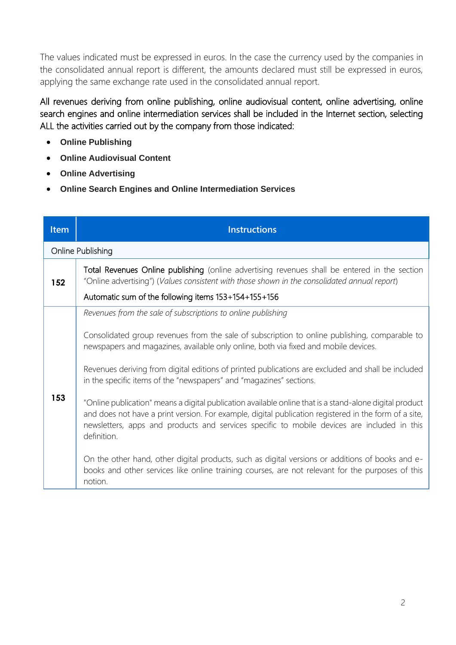The values indicated must be expressed in euros. In the case the currency used by the companies in the consolidated annual report is different, the amounts declared must still be expressed in euros, applying the same exchange rate used in the consolidated annual report.

All revenues deriving from online publishing, online audiovisual content, online advertising, online search engines and online intermediation services shall be included in the Internet section, selecting ALL the activities carried out by the company from those indicated:

- **Online Publishing**
- **Online Audiovisual Content**
- **Online Advertising**
- **Online Search Engines and Online Intermediation Services**

| <b>Item</b> | <b>Instructions</b>                                                                                                                                                                                                                                                                                                            |
|-------------|--------------------------------------------------------------------------------------------------------------------------------------------------------------------------------------------------------------------------------------------------------------------------------------------------------------------------------|
|             | Online Publishing                                                                                                                                                                                                                                                                                                              |
| 152         | Total Revenues Online publishing (online advertising revenues shall be entered in the section<br>"Online advertising") (Values consistent with those shown in the consolidated annual report)                                                                                                                                  |
|             | Automatic sum of the following items 153+154+155+156                                                                                                                                                                                                                                                                           |
|             | Revenues from the sale of subscriptions to online publishing                                                                                                                                                                                                                                                                   |
|             | Consolidated group revenues from the sale of subscription to online publishing, comparable to<br>newspapers and magazines, available only online, both via fixed and mobile devices.                                                                                                                                           |
|             | Revenues deriving from digital editions of printed publications are excluded and shall be included<br>in the specific items of the "newspapers" and "magazines" sections.                                                                                                                                                      |
| 153         | "Online publication" means a digital publication available online that is a stand-alone digital product<br>and does not have a print version. For example, digital publication registered in the form of a site,<br>newsletters, apps and products and services specific to mobile devices are included in this<br>definition. |
|             | On the other hand, other digital products, such as digital versions or additions of books and e-<br>books and other services like online training courses, are not relevant for the purposes of this<br>notion.                                                                                                                |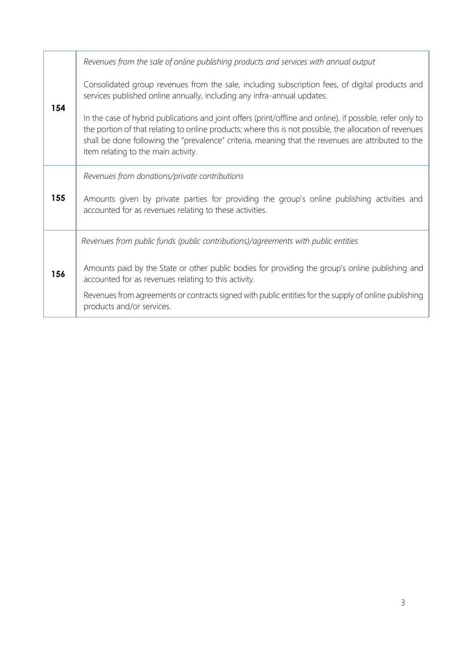|     | Revenues from the sale of online publishing products and services with annual output                                                                                                                                                                                                                                                                               |
|-----|--------------------------------------------------------------------------------------------------------------------------------------------------------------------------------------------------------------------------------------------------------------------------------------------------------------------------------------------------------------------|
| 154 | Consolidated group revenues from the sale, including subscription fees, of digital products and<br>services published online annually, including any infra-annual updates.                                                                                                                                                                                         |
|     | In the case of hybrid publications and joint offers (print/offline and online), if possible, refer only to<br>the portion of that relating to online products; where this is not possible, the allocation of revenues<br>shall be done following the "prevalence" criteria, meaning that the revenues are attributed to the<br>item relating to the main activity. |
| 155 | Revenues from donations/private contributions                                                                                                                                                                                                                                                                                                                      |
|     | Amounts given by private parties for providing the group's online publishing activities and<br>accounted for as revenues relating to these activities.                                                                                                                                                                                                             |
|     | Revenues from public funds (public contributions)/agreements with public entities                                                                                                                                                                                                                                                                                  |
| 156 | Amounts paid by the State or other public bodies for providing the group's online publishing and<br>accounted for as revenues relating to this activity.                                                                                                                                                                                                           |
|     | Revenues from agreements or contracts signed with public entities for the supply of online publishing<br>products and/or services.                                                                                                                                                                                                                                 |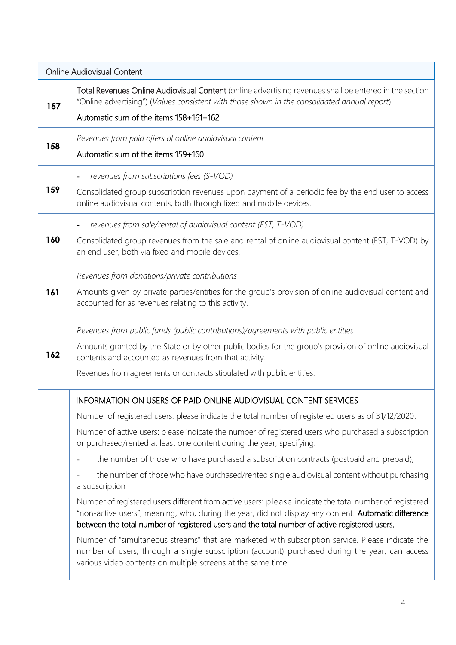|     | <b>Online Audiovisual Content</b>                                                                                                                                                                                                                                                                                                                                                                                                                                                                                                                                                                                                                                                                                                                                                                                                                                                                                                                                                                                                                                                                                                                            |  |
|-----|--------------------------------------------------------------------------------------------------------------------------------------------------------------------------------------------------------------------------------------------------------------------------------------------------------------------------------------------------------------------------------------------------------------------------------------------------------------------------------------------------------------------------------------------------------------------------------------------------------------------------------------------------------------------------------------------------------------------------------------------------------------------------------------------------------------------------------------------------------------------------------------------------------------------------------------------------------------------------------------------------------------------------------------------------------------------------------------------------------------------------------------------------------------|--|
| 157 | Total Revenues Online Audiovisual Content (online advertising revenues shall be entered in the section<br>"Online advertising") (Values consistent with those shown in the consolidated annual report)<br>Automatic sum of the items 158+161+162                                                                                                                                                                                                                                                                                                                                                                                                                                                                                                                                                                                                                                                                                                                                                                                                                                                                                                             |  |
| 158 | Revenues from paid offers of online audiovisual content<br>Automatic sum of the items 159+160                                                                                                                                                                                                                                                                                                                                                                                                                                                                                                                                                                                                                                                                                                                                                                                                                                                                                                                                                                                                                                                                |  |
| 159 | revenues from subscriptions fees (S-VOD)<br>Consolidated group subscription revenues upon payment of a periodic fee by the end user to access<br>online audiovisual contents, both through fixed and mobile devices.                                                                                                                                                                                                                                                                                                                                                                                                                                                                                                                                                                                                                                                                                                                                                                                                                                                                                                                                         |  |
| 160 | revenues from sale/rental of audiovisual content (EST, T-VOD)<br>Consolidated group revenues from the sale and rental of online audiovisual content (EST, T-VOD) by<br>an end user, both via fixed and mobile devices.                                                                                                                                                                                                                                                                                                                                                                                                                                                                                                                                                                                                                                                                                                                                                                                                                                                                                                                                       |  |
| 161 | Revenues from donations/private contributions<br>Amounts given by private parties/entities for the group's provision of online audiovisual content and<br>accounted for as revenues relating to this activity.                                                                                                                                                                                                                                                                                                                                                                                                                                                                                                                                                                                                                                                                                                                                                                                                                                                                                                                                               |  |
| 162 | Revenues from public funds (public contributions)/agreements with public entities<br>Amounts granted by the State or by other public bodies for the group's provision of online audiovisual<br>contents and accounted as revenues from that activity.<br>Revenues from agreements or contracts stipulated with public entities.                                                                                                                                                                                                                                                                                                                                                                                                                                                                                                                                                                                                                                                                                                                                                                                                                              |  |
|     | INFORMATION ON USERS OF PAID ONLINE AUDIOVISUAL CONTENT SERVICES<br>Number of registered users: please indicate the total number of registered users as of 31/12/2020.<br>Number of active users: please indicate the number of registered users who purchased a subscription<br>or purchased/rented at least one content during the year, specifying:<br>the number of those who have purchased a subscription contracts (postpaid and prepaid);<br>the number of those who have purchased/rented single audiovisual content without purchasing<br>a subscription<br>Number of registered users different from active users: please indicate the total number of registered<br>"non-active users", meaning, who, during the year, did not display any content. Automatic difference<br>between the total number of registered users and the total number of active registered users.<br>Number of "simultaneous streams" that are marketed with subscription service. Please indicate the<br>number of users, through a single subscription (account) purchased during the year, can access<br>various video contents on multiple screens at the same time. |  |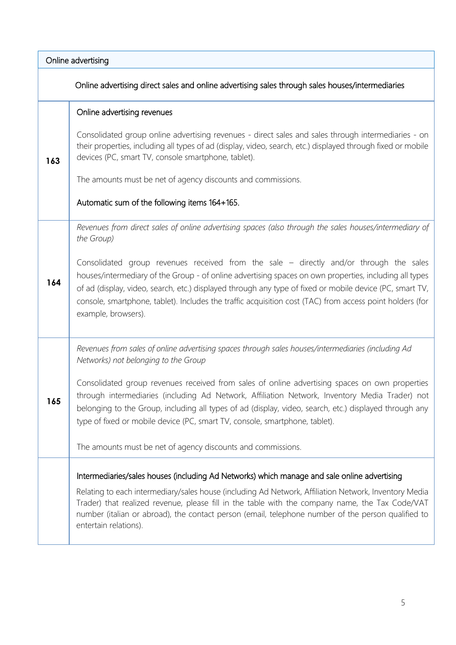|     | Online advertising                                                                                                                                                                                                                                                                                                                                                                                                                              |  |
|-----|-------------------------------------------------------------------------------------------------------------------------------------------------------------------------------------------------------------------------------------------------------------------------------------------------------------------------------------------------------------------------------------------------------------------------------------------------|--|
|     | Online advertising direct sales and online advertising sales through sales houses/intermediaries                                                                                                                                                                                                                                                                                                                                                |  |
|     | Online advertising revenues                                                                                                                                                                                                                                                                                                                                                                                                                     |  |
| 163 | Consolidated group online advertising revenues - direct sales and sales through intermediaries - on<br>their properties, including all types of ad (display, video, search, etc.) displayed through fixed or mobile<br>devices (PC, smart TV, console smartphone, tablet).                                                                                                                                                                      |  |
|     | The amounts must be net of agency discounts and commissions.                                                                                                                                                                                                                                                                                                                                                                                    |  |
|     | Automatic sum of the following items 164+165.                                                                                                                                                                                                                                                                                                                                                                                                   |  |
|     | Revenues from direct sales of online advertising spaces (also through the sales houses/intermediary of<br>the Group)                                                                                                                                                                                                                                                                                                                            |  |
| 164 | Consolidated group revenues received from the sale - directly and/or through the sales<br>houses/intermediary of the Group - of online advertising spaces on own properties, including all types<br>of ad (display, video, search, etc.) displayed through any type of fixed or mobile device (PC, smart TV,<br>console, smartphone, tablet). Includes the traffic acquisition cost (TAC) from access point holders (for<br>example, browsers). |  |
|     | Revenues from sales of online advertising spaces through sales houses/intermediaries (including Ad<br>Networks) not belonging to the Group                                                                                                                                                                                                                                                                                                      |  |
| 165 | Consolidated group revenues received from sales of online advertising spaces on own properties<br>through intermediaries (including Ad Network, Affiliation Network, Inventory Media Trader) not<br>belonging to the Group, including all types of ad (display, video, search, etc.) displayed through any<br>type of fixed or mobile device (PC, smart TV, console, smartphone, tablet).                                                       |  |
|     | The amounts must be net of agency discounts and commissions.                                                                                                                                                                                                                                                                                                                                                                                    |  |
|     | Intermediaries/sales houses (including Ad Networks) which manage and sale online advertising                                                                                                                                                                                                                                                                                                                                                    |  |
|     | Relating to each intermediary/sales house (including Ad Network, Affiliation Network, Inventory Media<br>Trader) that realized revenue, please fill in the table with the company name, the Tax Code/VAT<br>number (italian or abroad), the contact person (email, telephone number of the person qualified to<br>entertain relations).                                                                                                         |  |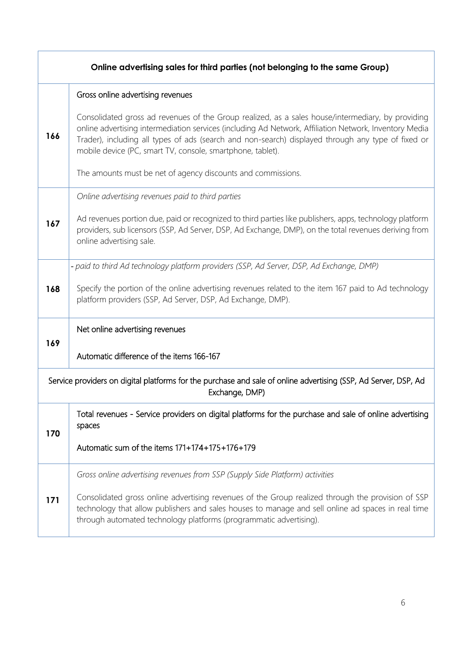| Online advertising sales for third parties (not belonging to the same Group)                                                      |                                                                                                                                                                                                                                                                                                                                                                                 |
|-----------------------------------------------------------------------------------------------------------------------------------|---------------------------------------------------------------------------------------------------------------------------------------------------------------------------------------------------------------------------------------------------------------------------------------------------------------------------------------------------------------------------------|
|                                                                                                                                   | Gross online advertising revenues                                                                                                                                                                                                                                                                                                                                               |
| 166                                                                                                                               | Consolidated gross ad revenues of the Group realized, as a sales house/intermediary, by providing<br>online advertising intermediation services (including Ad Network, Affiliation Network, Inventory Media<br>Trader), including all types of ads (search and non-search) displayed through any type of fixed or<br>mobile device (PC, smart TV, console, smartphone, tablet). |
|                                                                                                                                   | The amounts must be net of agency discounts and commissions.                                                                                                                                                                                                                                                                                                                    |
|                                                                                                                                   | Online advertising revenues paid to third parties                                                                                                                                                                                                                                                                                                                               |
| 167                                                                                                                               | Ad revenues portion due, paid or recognized to third parties like publishers, apps, technology platform<br>providers, sub licensors (SSP, Ad Server, DSP, Ad Exchange, DMP), on the total revenues deriving from<br>online advertising sale.                                                                                                                                    |
|                                                                                                                                   | - paid to third Ad technology platform providers (SSP, Ad Server, DSP, Ad Exchange, DMP)                                                                                                                                                                                                                                                                                        |
| 168                                                                                                                               | Specify the portion of the online advertising revenues related to the item 167 paid to Ad technology<br>platform providers (SSP, Ad Server, DSP, Ad Exchange, DMP).                                                                                                                                                                                                             |
|                                                                                                                                   | Net online advertising revenues                                                                                                                                                                                                                                                                                                                                                 |
| 169                                                                                                                               | Automatic difference of the items 166-167                                                                                                                                                                                                                                                                                                                                       |
| Service providers on digital platforms for the purchase and sale of online advertising (SSP, Ad Server, DSP, Ad<br>Exchange, DMP) |                                                                                                                                                                                                                                                                                                                                                                                 |
| 170                                                                                                                               | Total revenues - Service providers on digital platforms for the purchase and sale of online advertising<br>spaces                                                                                                                                                                                                                                                               |
|                                                                                                                                   | Automatic sum of the items 171+174+175+176+179                                                                                                                                                                                                                                                                                                                                  |
|                                                                                                                                   | Gross online advertising revenues from SSP (Supply Side Platform) activities                                                                                                                                                                                                                                                                                                    |
| 171                                                                                                                               | Consolidated gross online advertising revenues of the Group realized through the provision of SSP<br>technology that allow publishers and sales houses to manage and sell online ad spaces in real time<br>through automated technology platforms (programmatic advertising).                                                                                                   |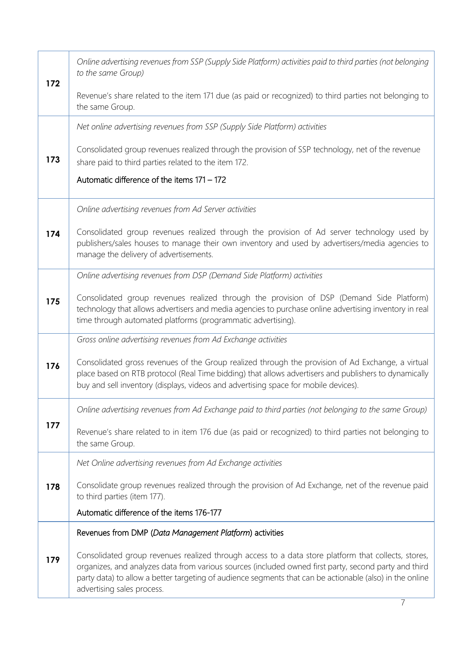| 172 | Online advertising revenues from SSP (Supply Side Platform) activities paid to third parties (not belonging<br>to the same Group)                                                                                                                                                                                                                      |
|-----|--------------------------------------------------------------------------------------------------------------------------------------------------------------------------------------------------------------------------------------------------------------------------------------------------------------------------------------------------------|
|     | Revenue's share related to the item 171 due (as paid or recognized) to third parties not belonging to<br>the same Group.                                                                                                                                                                                                                               |
|     | Net online advertising revenues from SSP (Supply Side Platform) activities                                                                                                                                                                                                                                                                             |
| 173 | Consolidated group revenues realized through the provision of SSP technology, net of the revenue<br>share paid to third parties related to the item 172.                                                                                                                                                                                               |
|     | Automatic difference of the items 171 - 172                                                                                                                                                                                                                                                                                                            |
|     | Online advertising revenues from Ad Server activities                                                                                                                                                                                                                                                                                                  |
| 174 | Consolidated group revenues realized through the provision of Ad server technology used by<br>publishers/sales houses to manage their own inventory and used by advertisers/media agencies to<br>manage the delivery of advertisements.                                                                                                                |
|     | Online advertising revenues from DSP (Demand Side Platform) activities                                                                                                                                                                                                                                                                                 |
| 175 | Consolidated group revenues realized through the provision of DSP (Demand Side Platform)<br>technology that allows advertisers and media agencies to purchase online advertising inventory in real<br>time through automated platforms (programmatic advertising).                                                                                     |
|     | Gross online advertising revenues from Ad Exchange activities                                                                                                                                                                                                                                                                                          |
| 176 | Consolidated gross revenues of the Group realized through the provision of Ad Exchange, a virtual<br>place based on RTB protocol (Real Time bidding) that allows advertisers and publishers to dynamically<br>buy and sell inventory (displays, videos and advertising space for mobile devices).                                                      |
|     | Online advertising revenues from Ad Exchange paid to third parties (not belonging to the same Group)                                                                                                                                                                                                                                                   |
| 177 | Revenue's share related to in item 176 due (as paid or recognized) to third parties not belonging to<br>the same Group.                                                                                                                                                                                                                                |
|     | Net Online advertising revenues from Ad Exchange activities                                                                                                                                                                                                                                                                                            |
| 178 | Consolidate group revenues realized through the provision of Ad Exchange, net of the revenue paid<br>to third parties (item 177).                                                                                                                                                                                                                      |
|     | Automatic difference of the items 176-177                                                                                                                                                                                                                                                                                                              |
| 179 | Revenues from DMP (Data Management Platform) activities                                                                                                                                                                                                                                                                                                |
|     | Consolidated group revenues realized through access to a data store platform that collects, stores,<br>organizes, and analyzes data from various sources (included owned first party, second party and third<br>party data) to allow a better targeting of audience segments that can be actionable (also) in the online<br>advertising sales process. |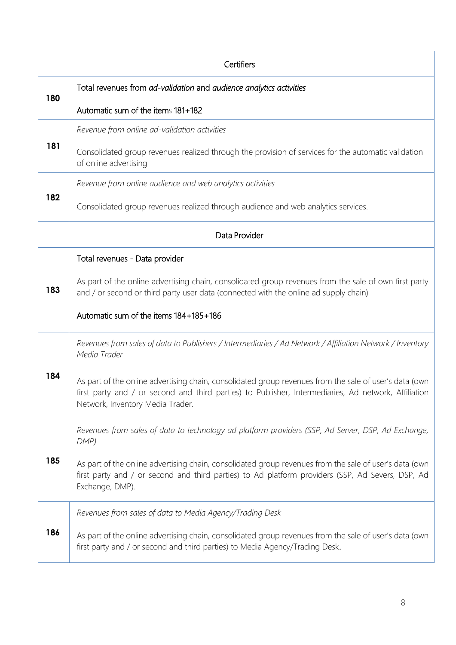|               | Certifiers                                                                                                                                                                                                                                         |  |
|---------------|----------------------------------------------------------------------------------------------------------------------------------------------------------------------------------------------------------------------------------------------------|--|
| 180           | Total revenues from ad-validation and audience analytics activities                                                                                                                                                                                |  |
|               | Automatic sum of the items 181+182                                                                                                                                                                                                                 |  |
|               | Revenue from online ad-validation activities                                                                                                                                                                                                       |  |
| 181           | Consolidated group revenues realized through the provision of services for the automatic validation<br>of online advertising                                                                                                                       |  |
|               | Revenue from online audience and web analytics activities                                                                                                                                                                                          |  |
| 182           | Consolidated group revenues realized through audience and web analytics services.                                                                                                                                                                  |  |
| Data Provider |                                                                                                                                                                                                                                                    |  |
|               | Total revenues - Data provider                                                                                                                                                                                                                     |  |
| 183           | As part of the online advertising chain, consolidated group revenues from the sale of own first party<br>and / or second or third party user data (connected with the online ad supply chain)                                                      |  |
|               | Automatic sum of the items 184+185+186                                                                                                                                                                                                             |  |
|               | Revenues from sales of data to Publishers / Intermediaries / Ad Network / Affiliation Network / Inventory<br>Media Trader                                                                                                                          |  |
| 184           | As part of the online advertising chain, consolidated group revenues from the sale of user's data (own<br>first party and / or second and third parties) to Publisher, Intermediaries, Ad network, Affiliation<br>Network, Inventory Media Trader. |  |
|               | Revenues from sales of data to technology ad platform providers (SSP, Ad Server, DSP, Ad Exchange,<br>DMP                                                                                                                                          |  |
| 185           | As part of the online advertising chain, consolidated group revenues from the sale of user's data (own<br>first party and / or second and third parties) to Ad platform providers (SSP, Ad Severs, DSP, Ad<br>Exchange, DMP).                      |  |
|               | Revenues from sales of data to Media Agency/Trading Desk                                                                                                                                                                                           |  |
| 186           | As part of the online advertising chain, consolidated group revenues from the sale of user's data (own<br>first party and / or second and third parties) to Media Agency/Trading Desk.                                                             |  |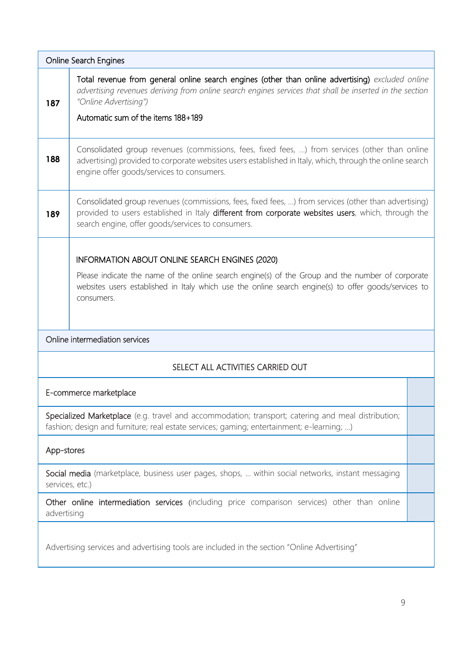| <b>Online Search Engines</b>                                                                                                                                                                    |                                                                                                                                                                                                                                                                            |  |
|-------------------------------------------------------------------------------------------------------------------------------------------------------------------------------------------------|----------------------------------------------------------------------------------------------------------------------------------------------------------------------------------------------------------------------------------------------------------------------------|--|
| 187                                                                                                                                                                                             | Total revenue from general online search engines (other than online advertising) excluded online<br>advertising revenues deriving from online search engines services that shall be inserted in the section<br>"Online Advertising")<br>Automatic sum of the items 188+189 |  |
|                                                                                                                                                                                                 |                                                                                                                                                                                                                                                                            |  |
| 188                                                                                                                                                                                             | Consolidated group revenues (commissions, fees, fixed fees, ) from services (other than online<br>advertising) provided to corporate websites users established in Italy, which, through the online search<br>engine offer goods/services to consumers.                    |  |
| 189                                                                                                                                                                                             | Consolidated group revenues (commissions, fees, fixed fees, ) from services (other than advertising)<br>provided to users established in Italy different from corporate websites users, which, through the<br>search engine, offer goods/services to consumers.            |  |
|                                                                                                                                                                                                 | <b>INFORMATION ABOUT ONLINE SEARCH ENGINES (2020)</b>                                                                                                                                                                                                                      |  |
|                                                                                                                                                                                                 | Please indicate the name of the online search engine(s) of the Group and the number of corporate<br>websites users established in Italy which use the online search engine(s) to offer goods/services to<br>consumers.                                                     |  |
|                                                                                                                                                                                                 | Online intermediation services                                                                                                                                                                                                                                             |  |
|                                                                                                                                                                                                 | SELECT ALL ACTIVITIES CARRIED OUT                                                                                                                                                                                                                                          |  |
|                                                                                                                                                                                                 | E-commerce marketplace                                                                                                                                                                                                                                                     |  |
| Specialized Marketplace (e.g. travel and accommodation; transport; catering and meal distribution;<br>fashion; design and furniture; real estate services; gaming; entertainment; e-learning; ) |                                                                                                                                                                                                                                                                            |  |
|                                                                                                                                                                                                 | App-stores                                                                                                                                                                                                                                                                 |  |
| Social media (marketplace, business user pages, shops,  within social networks, instant messaging<br>services, etc.)                                                                            |                                                                                                                                                                                                                                                                            |  |
|                                                                                                                                                                                                 | Other online intermediation services (including price comparison services) other than online<br>advertising                                                                                                                                                                |  |
| Advertising services and advertising tools are included in the section "Online Advertising"                                                                                                     |                                                                                                                                                                                                                                                                            |  |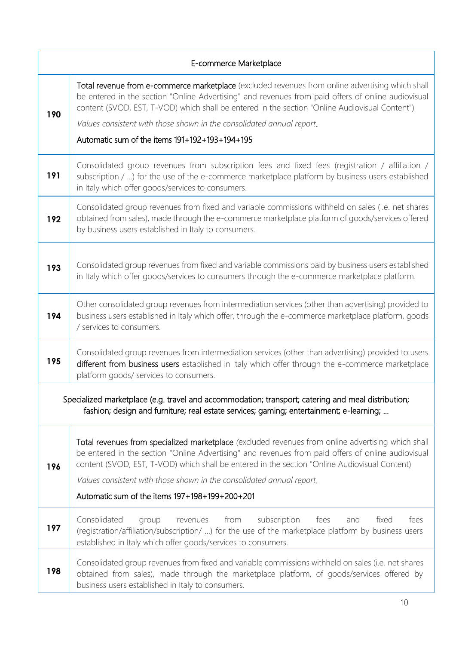|     | E-commerce Marketplace                                                                                                                                                                                                                                                                                                                                                                                                                |  |
|-----|---------------------------------------------------------------------------------------------------------------------------------------------------------------------------------------------------------------------------------------------------------------------------------------------------------------------------------------------------------------------------------------------------------------------------------------|--|
| 190 | Total revenue from e-commerce marketplace (excluded revenues from online advertising which shall<br>be entered in the section "Online Advertising" and revenues from paid offers of online audiovisual<br>content (SVOD, EST, T-VOD) which shall be entered in the section "Online Audiovisual Content")<br>Values consistent with those shown in the consolidated annual report.<br>Automatic sum of the items $191+192+193+194+195$ |  |
| 191 | Consolidated group revenues from subscription fees and fixed fees (registration / affiliation /<br>subscription / ) for the use of the e-commerce marketplace platform by business users established<br>in Italy which offer goods/services to consumers.                                                                                                                                                                             |  |
| 192 | Consolidated group revenues from fixed and variable commissions withheld on sales (i.e. net shares<br>obtained from sales), made through the e-commerce marketplace platform of goods/services offered<br>by business users established in Italy to consumers.                                                                                                                                                                        |  |
| 193 | Consolidated group revenues from fixed and variable commissions paid by business users established<br>in Italy which offer goods/services to consumers through the e-commerce marketplace platform.                                                                                                                                                                                                                                   |  |
| 194 | Other consolidated group revenues from intermediation services (other than advertising) provided to<br>business users established in Italy which offer, through the e-commerce marketplace platform, goods<br>/ services to consumers.                                                                                                                                                                                                |  |
| 195 | Consolidated group revenues from intermediation services (other than advertising) provided to users<br>different from business users established in Italy which offer through the e-commerce marketplace<br>platform goods/ services to consumers.                                                                                                                                                                                    |  |
|     | Specialized marketplace (e.g. travel and accommodation; transport; catering and meal distribution;<br>fashion; design and furniture; real estate services; gaming; entertainment; e-learning;                                                                                                                                                                                                                                         |  |
| 196 | Total revenues from specialized marketplace (excluded revenues from online advertising which shall<br>be entered in the section "Online Advertising" and revenues from paid offers of online audiovisual<br>content (SVOD, EST, T-VOD) which shall be entered in the section "Online Audiovisual Content)<br>Values consistent with those shown in the consolidated annual report.<br>Automatic sum of the items 197+198+199+200+201  |  |
| 197 | Consolidated<br>subscription<br>from<br>fees<br>and<br>fixed<br>fees<br>group<br>revenues<br>(registration/affiliation/subscription/ ) for the use of the marketplace platform by business users<br>established in Italy which offer goods/services to consumers.                                                                                                                                                                     |  |
| 198 | Consolidated group revenues from fixed and variable commissions withheld on sales (i.e. net shares<br>obtained from sales), made through the marketplace platform, of goods/services offered by<br>business users established in Italy to consumers.                                                                                                                                                                                  |  |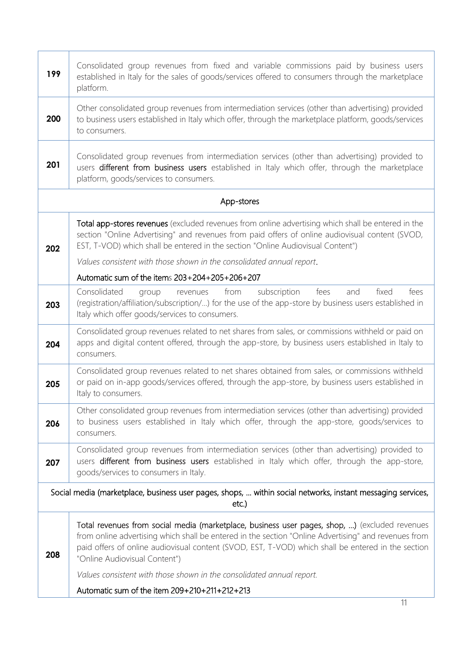| 199                                                                                                                     | Consolidated group revenues from fixed and variable commissions paid by business users<br>established in Italy for the sales of goods/services offered to consumers through the marketplace<br>platform.                                                                                                                                      |
|-------------------------------------------------------------------------------------------------------------------------|-----------------------------------------------------------------------------------------------------------------------------------------------------------------------------------------------------------------------------------------------------------------------------------------------------------------------------------------------|
| 200                                                                                                                     | Other consolidated group revenues from intermediation services (other than advertising) provided<br>to business users established in Italy which offer, through the marketplace platform, goods/services<br>to consumers.                                                                                                                     |
| 201                                                                                                                     | Consolidated group revenues from intermediation services (other than advertising) provided to<br>users different from business users established in Italy which offer, through the marketplace<br>platform, goods/services to consumers.                                                                                                      |
|                                                                                                                         | App-stores                                                                                                                                                                                                                                                                                                                                    |
| 202                                                                                                                     | Total app-stores revenues (excluded revenues from online advertising which shall be entered in the<br>section "Online Advertising" and revenues from paid offers of online audiovisual content (SVOD,<br>EST, T-VOD) which shall be entered in the section "Online Audiovisual Content")                                                      |
|                                                                                                                         | Values consistent with those shown in the consolidated annual report.                                                                                                                                                                                                                                                                         |
|                                                                                                                         | Automatic sum of the items 203+204+205+206+207                                                                                                                                                                                                                                                                                                |
| 203                                                                                                                     | Consolidated<br>from subscription<br>fees<br>and<br>fixed<br>fees<br>group<br>revenues<br>(registration/affiliation/subscription/) for the use of the app-store by business users established in<br>Italy which offer goods/services to consumers.                                                                                            |
| 204                                                                                                                     | Consolidated group revenues related to net shares from sales, or commissions withheld or paid on<br>apps and digital content offered, through the app-store, by business users established in Italy to<br>consumers.                                                                                                                          |
| 205                                                                                                                     | Consolidated group revenues related to net shares obtained from sales, or commissions withheld<br>or paid on in-app goods/services offered, through the app-store, by business users established in<br>Italy to consumers.                                                                                                                    |
| 206                                                                                                                     | Other consolidated group revenues from intermediation services (other than advertising) provided<br>to business users established in Italy which offer, through the app-store, goods/services to<br>consumers.                                                                                                                                |
| 207                                                                                                                     | Consolidated group revenues from intermediation services (other than advertising) provided to<br>users different from business users established in Italy which offer, through the app-store,<br>goods/services to consumers in Italy.                                                                                                        |
| Social media (marketplace, business user pages, shops,  within social networks, instant messaging services,<br>$etc.$ ) |                                                                                                                                                                                                                                                                                                                                               |
| 208                                                                                                                     | Total revenues from social media (marketplace, business user pages, shop, ) (excluded revenues<br>from online advertising which shall be entered in the section "Online Advertising" and revenues from<br>paid offers of online audiovisual content (SVOD, EST, T-VOD) which shall be entered in the section<br>"Online Audiovisual Content") |
|                                                                                                                         | Values consistent with those shown in the consolidated annual report.                                                                                                                                                                                                                                                                         |
|                                                                                                                         | Automatic sum of the item 209+210+211+212+213                                                                                                                                                                                                                                                                                                 |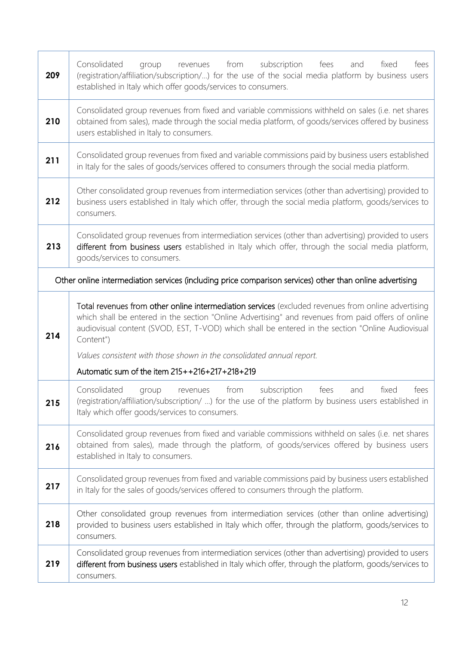| 209 | subscription<br>Consolidated<br>from<br>fees<br>fees<br>and<br>fixed<br>group<br>revenues<br>(registration/affiliation/subscription/) for the use of the social media platform by business users<br>established in Italy which offer goods/services to consumers.                                                                                                                                   |
|-----|-----------------------------------------------------------------------------------------------------------------------------------------------------------------------------------------------------------------------------------------------------------------------------------------------------------------------------------------------------------------------------------------------------|
| 210 | Consolidated group revenues from fixed and variable commissions withheld on sales (i.e. net shares<br>obtained from sales), made through the social media platform, of goods/services offered by business<br>users established in Italy to consumers.                                                                                                                                               |
| 211 | Consolidated group revenues from fixed and variable commissions paid by business users established<br>in Italy for the sales of goods/services offered to consumers through the social media platform.                                                                                                                                                                                              |
| 212 | Other consolidated group revenues from intermediation services (other than advertising) provided to<br>business users established in Italy which offer, through the social media platform, goods/services to<br>consumers.                                                                                                                                                                          |
| 213 | Consolidated group revenues from intermediation services (other than advertising) provided to users<br>different from business users established in Italy which offer, through the social media platform,<br>goods/services to consumers.                                                                                                                                                           |
|     | Other online intermediation services (including price comparison services) other than online advertising                                                                                                                                                                                                                                                                                            |
| 214 | Total revenues from other online intermediation services (excluded revenues from online advertising<br>which shall be entered in the section "Online Advertising" and revenues from paid offers of online<br>audiovisual content (SVOD, EST, T-VOD) which shall be entered in the section "Online Audiovisual<br>Content")<br>Values consistent with those shown in the consolidated annual report. |
|     | Automatic sum of the item 215++216+217+218+219                                                                                                                                                                                                                                                                                                                                                      |
| 215 | Consolidated<br>subscription<br>from<br>fees<br>fixed<br>and<br>fees<br>group<br>revenues<br>(registration/affiliation/subscription/ ) for the use of the platform by business users established in<br>Italy which offer goods/services to consumers.                                                                                                                                               |
| 216 | Consolidated group revenues from fixed and variable commissions withheld on sales (i.e. net shares<br>obtained from sales), made through the platform, of goods/services offered by business users<br>established in Italy to consumers.                                                                                                                                                            |
| 217 | Consolidated group revenues from fixed and variable commissions paid by business users established<br>in Italy for the sales of goods/services offered to consumers through the platform.                                                                                                                                                                                                           |
| 218 | Other consolidated group revenues from intermediation services (other than online advertising)<br>provided to business users established in Italy which offer, through the platform, goods/services to                                                                                                                                                                                              |
|     | consumers.                                                                                                                                                                                                                                                                                                                                                                                          |